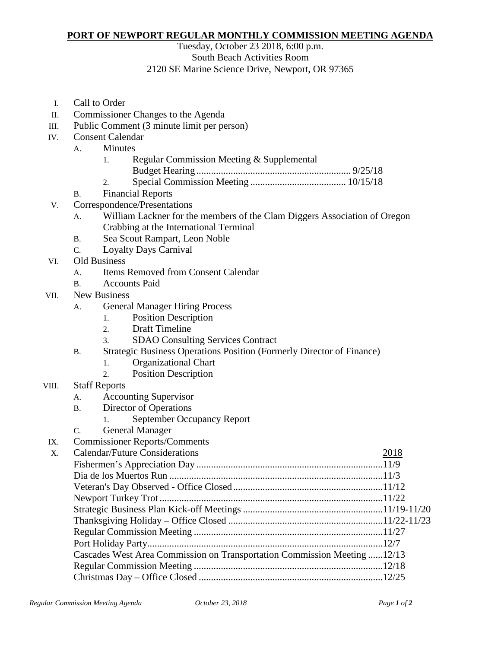## **PORT OF NEWPORT REGULAR MONTHLY COMMISSION MEETING AGENDA**

Tuesday, October 23 2018, 6:00 p.m.

## South Beach Activities Room

## 2120 SE Marine Science Drive, Newport, OR 97365

- I. Call to Order
- II. Commissioner Changes to the Agenda
- III. Public Comment (3 minute limit per person)
- IV. Consent Calendar
	- A. Minutes
		- 1. Regular Commission Meeting & Supplemental
			- Budget Hearing ............................................................... 9/25/18
		- 2. Special Commission Meeting ....................................... 10/15/18
	- B. Financial Reports
- V. Correspondence/Presentations
	- A. William Lackner for the members of the Clam Diggers Association of Oregon Crabbing at the International Terminal
	- B. Sea Scout Rampart, Leon Noble
	- C. Loyalty Days Carnival
- VI. Old Business
	- A. Items Removed from Consent Calendar
	- B. Accounts Paid
- VII. New Business
	- A. General Manager Hiring Process
		- 1. Position Description
		- 2. Draft Timeline
		- 3. SDAO Consulting Services Contract
	- B. Strategic Business Operations Position (Formerly Director of Finance)
		- 1. Organizational Chart
		- 2. Position Description
- VIII. Staff Reports
	- A. Accounting Supervisor
	- B. Director of Operations
		- 1. September Occupancy Report
	- C. General Manager
- IX. Commissioner Reports/Comments

| X. | <b>Calendar/Future Considerations</b>                                     | 2018 |
|----|---------------------------------------------------------------------------|------|
|    |                                                                           |      |
|    |                                                                           |      |
|    |                                                                           |      |
|    |                                                                           |      |
|    |                                                                           |      |
|    |                                                                           |      |
|    |                                                                           |      |
|    |                                                                           |      |
|    | Cascades West Area Commission on Transportation Commission Meeting  12/13 |      |
|    |                                                                           |      |
|    |                                                                           |      |
|    |                                                                           |      |